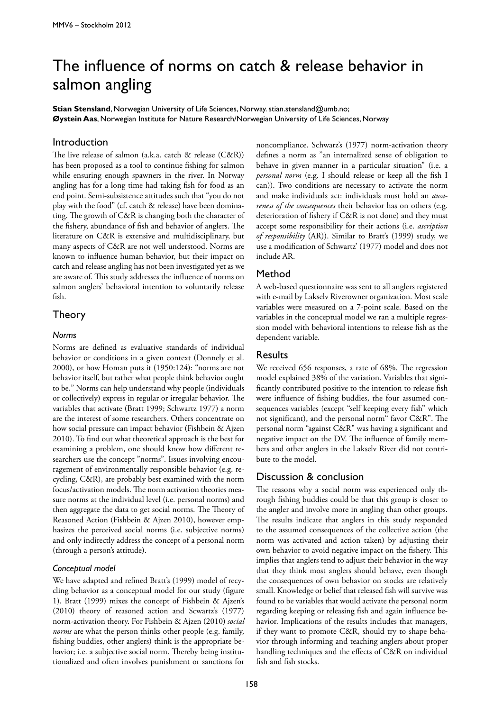# The influence of norms on catch & release behavior in salmon angling

**Stian Stensland**, Norwegian University of Life Sciences, Norway, stian.stensland@umb.no; **Øystein Aas**, Norwegian Institute for Nature Research/Norwegian University of Life Sciences, Norway

# Introduction

The live release of salmon (a.k.a. catch & release (C&R)) has been proposed as a tool to continue fishing for salmon while ensuring enough spawners in the river. In Norway angling has for a long time had taking fish for food as an end point. Semi-subsistence attitudes such that "you do not play with the food" (cf. catch & release) have been dominating. The growth of C&R is changing both the character of the fishery, abundance of fish and behavior of anglers. The literature on C&R is extensive and multidisciplinary, but many aspects of C&R are not well understood. Norms are known to influence human behavior, but their impact on catch and release angling has not been investigated yet as we are aware of. This study addresses the influence of norms on salmon anglers' behavioral intention to voluntarily release fish.

## Theory

#### *Norms*

Norms are defined as evaluative standards of individual behavior or conditions in a given context (Donnely et al. 2000), or how Homan puts it (1950:124): ''norms are not behavior itself, but rather what people think behavior ought to be.'' Norms can help understand why people (individuals or collectively) express in regular or irregular behavior. The variables that activate (Bratt 1999; Schwartz 1977) a norm are the interest of some researchers. Others concentrate on how social pressure can impact behavior (Fishbein & Ajzen 2010). To find out what theoretical approach is the best for examining a problem, one should know how different researchers use the concept "norms". Issues involving encouragement of environmentally responsible behavior (e.g. recycling, C&R), are probably best examined with the norm focus/activation models. The norm activation theories measure norms at the individual level (i.e. personal norms) and then aggregate the data to get social norms. The Theory of Reasoned Action (Fishbein & Ajzen 2010), however emphasizes the perceived social norms (i.e. subjective norms) and only indirectly address the concept of a personal norm (through a person's attitude).

#### *Conceptual model*

We have adapted and refined Bratt's (1999) model of recycling behavior as a conceptual model for our study (figure 1). Bratt (1999) mixes the concept of Fishbein & Ajzen's (2010) theory of reasoned action and Scwartz's (1977) norm-activation theory. For Fishbein & Ajzen (2010) *social norms* are what the person thinks other people (e.g. family, fishing buddies, other anglers) think is the appropriate behavior; i.e. a subjective social norm. Thereby being institutionalized and often involves punishment or sanctions for

noncompliance. Schwarz's (1977) norm-activation theory defines a norm as "an internalized sense of obligation to behave in given manner in a particular situation" (i.e. a *personal norm* (e.g. I should release or keep all the fish I can)). Two conditions are necessary to activate the norm and make individuals act: individuals must hold an *awareness of the consequences* their behavior has on others (e.g. deterioration of fishery if C&R is not done) and they must accept some responsibility for their actions (i.e. *ascription of responsibility* (AR)). Similar to Bratt's (1999) study, we use a modification of Schwartz' (1977) model and does not include AR.

# Method

A web-based questionnaire was sent to all anglers registered with e-mail by Lakselv Riverowner organization. Most scale variables were measured on a 7-point scale. Based on the variables in the conceptual model we ran a multiple regression model with behavioral intentions to release fish as the dependent variable.

#### Results

We received 656 responses, a rate of 68%. The regression model explained 38% of the variation. Variables that significantly contributed positive to the intention to release fish were influence of fishing buddies, the four assumed consequences variables (except "self keeping every fish" which not significant), and the personal norm" favor C&R". The personal norm "against C&R" was having a significant and negative impact on the DV. The influence of family members and other anglers in the Lakselv River did not contribute to the model.

## Discussion & conclusion

The reasons why a social norm was experienced only through fishing buddies could be that this group is closer to the angler and involve more in angling than other groups. The results indicate that anglers in this study responded to the assumed consequences of the collective action (the norm was activated and action taken) by adjusting their own behavior to avoid negative impact on the fishery. This implies that anglers tend to adjust their behavior in the way that they think most anglers should behave, even though the consequences of own behavior on stocks are relatively small. Knowledge or belief that released fish will survive was found to be variables that would activate the personal norm regarding keeping or releasing fish and again influence behavior. Implications of the results includes that managers, if they want to promote C&R, should try to shape behavior through informing and teaching anglers about proper handling techniques and the effects of C&R on individual fish and fish stocks.